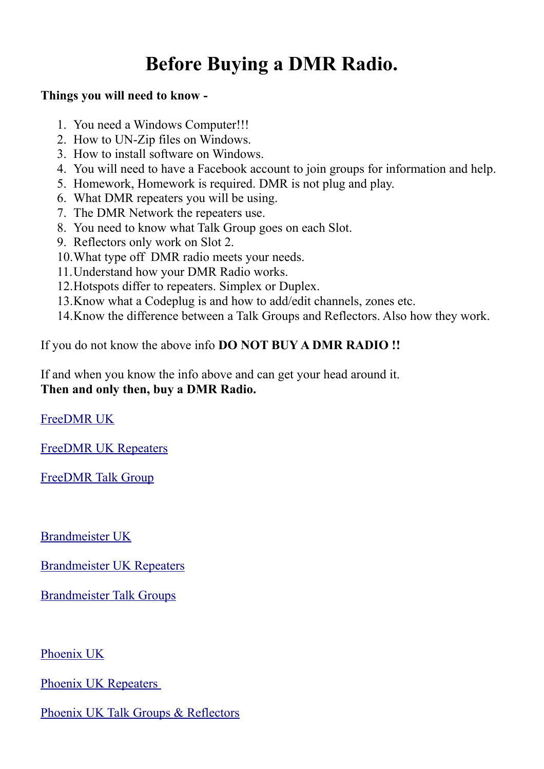## **Before Buying a DMR Radio.**

## **Things you will need to know -**

- 1. You need a Windows Computer!!!
- 2. How to UN-Zip files on Windows.
- 3. How to install software on Windows.
- 4. You will need to have a Facebook account to join groups for information and help.
- 5. Homework, Homework is required. DMR is not plug and play.
- 6. What DMR repeaters you will be using.
- 7. The DMR Network the repeaters use.
- 8. You need to know what Talk Group goes on each Slot.
- 9. Reflectors only work on Slot 2.
- 10.What type off DMR radio meets your needs.
- 11.Understand how your DMR Radio works.
- 12.Hotspots differ to repeaters. Simplex or Duplex.
- 13.Know what a Codeplug is and how to add/edit channels, zones etc.
- 14.Know the difference between a Talk Groups and Reflectors. Also how they work.

If you do not know the above info **DO NOT BUY A DMR RADIO !!**

If and when you know the info above and can get your head around it. **Then and only then, buy a DMR Radio.** 

[FreeDMR UK](http://www.freedmr.uk/index.php/contact-support/how-to/)

[FreeDMR UK Repeaters](http://www.freedmr.uk/index.php/dashboard/repeater-dashboard/)

[FreeDMR Talk Group](http://www.freedmr.uk/index.php/talkgroups/)

[Brandmeister UK](http://brandmeister-uk.cloudaccess.host/)

[Brandmeister UK Repeaters](http://www.bm-dmr.uk/dash/ukrepeaters.html)

[Brandmeister Talk Groups](https://brandmeister.network/?page=talkgroups)

[Phoenix UK](http://www.dmr-uk.net/)

[Phoenix UK Repeaters](http://www.dmr-uk.net/index.php/listing/) 

[Phoenix UK Talk Groups & Reflectors](http://www.dmr-uk.net/index.php/layout/)